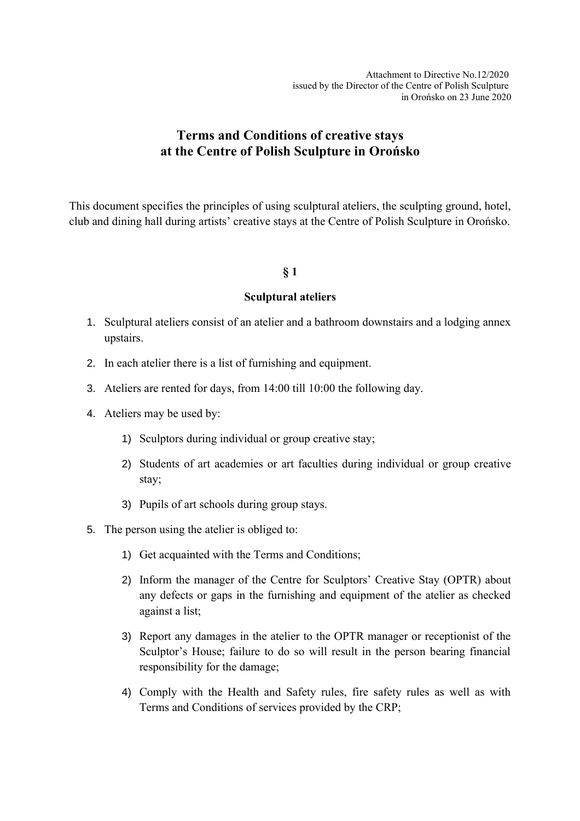Attachment to Directive No.12/2020 issued by the Director of the Centre of Polish Sculpture in Orońsko on 23 June 2020

# **Terms and Conditions of creative stays at the Centre of Polish Sculpture in Orońsko**

This document specifies the principles of using sculptural ateliers, the sculpting ground, hotel, club and dining hall during artists' creative stays at the Centre of Polish Sculpture in Orońsko.

## **§ 1**

#### **Sculptural ateliers**

- 1. Sculptural ateliers consist of an atelier and a bathroom downstairs and a lodging annex upstairs.
- 2. In each atelier there is a list of furnishing and equipment.
- 3. Ateliers are rented for days, from 14:00 till 10:00 the following day.
- 4. Ateliers may be used by:
	- 1) Sculptors during individual or group creative stay;
	- 2) Students of art academies or art faculties during individual or group creative stay;
	- 3) Pupils of art schools during group stays.
- 5. The person using the atelier is obliged to:
	- 1) Get acquainted with the Terms and Conditions;
	- 2) Inform the manager of the Centre for Sculptors' Creative Stay (OPTR) about any defects or gaps in the furnishing and equipment of the atelier as checked against a list;
	- 3) Report any damages in the atelier to the OPTR manager or receptionist of the Sculptor's House; failure to do so will result in the person bearing financial responsibility for the damage;
	- 4) Comply with the Health and Safety rules, fire safety rules as well as with Terms and Conditions of services provided by the CRP;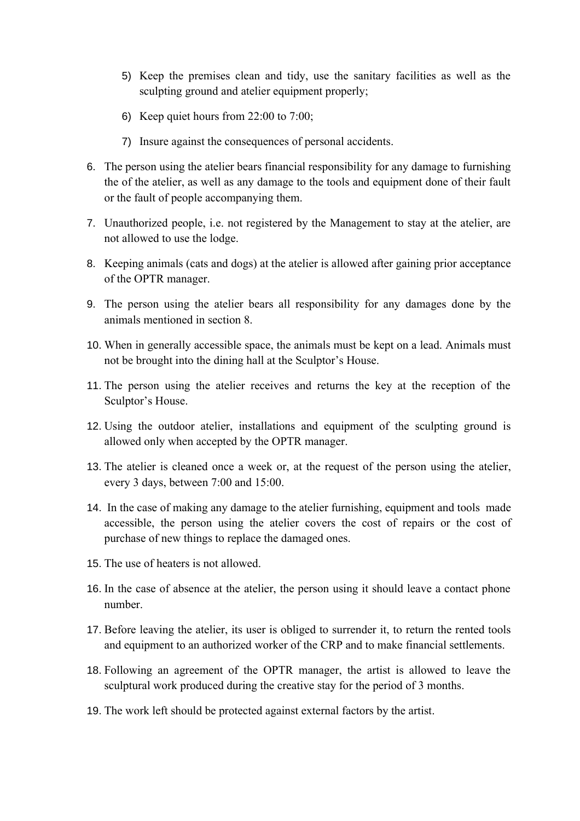- 5) Keep the premises clean and tidy, use the sanitary facilities as well as the sculpting ground and atelier equipment properly;
- 6) Keep quiet hours from 22:00 to 7:00;
- 7) Insure against the consequences of personal accidents.
- 6. The person using the atelier bears financial responsibility for any damage to furnishing the of the atelier, as well as any damage to the tools and equipment done of their fault or the fault of people accompanying them.
- 7. Unauthorized people, i.e. not registered by the Management to stay at the atelier, are not allowed to use the lodge.
- 8. Keeping animals (cats and dogs) at the atelier is allowed after gaining prior acceptance of the OPTR manager.
- 9. The person using the atelier bears all responsibility for any damages done by the animals mentioned in section 8.
- 10. When in generally accessible space, the animals must be kept on a lead. Animals must not be brought into the dining hall at the Sculptor's House.
- 11. The person using the atelier receives and returns the key at the reception of the Sculptor's House.
- 12. Using the outdoor atelier, installations and equipment of the sculpting ground is allowed only when accepted by the OPTR manager.
- 13. The atelier is cleaned once a week or, at the request of the person using the atelier, every 3 days, between 7:00 and 15:00.
- 14. In the case of making any damage to the atelier furnishing, equipment and tools made accessible, the person using the atelier covers the cost of repairs or the cost of purchase of new things to replace the damaged ones.
- 15. The use of heaters is not allowed.
- 16. In the case of absence at the atelier, the person using it should leave a contact phone number.
- 17. Before leaving the atelier, its user is obliged to surrender it, to return the rented tools and equipment to an authorized worker of the CRP and to make financial settlements.
- 18. Following an agreement of the OPTR manager, the artist is allowed to leave the sculptural work produced during the creative stay for the period of 3 months.
- 19. The work left should be protected against external factors by the artist.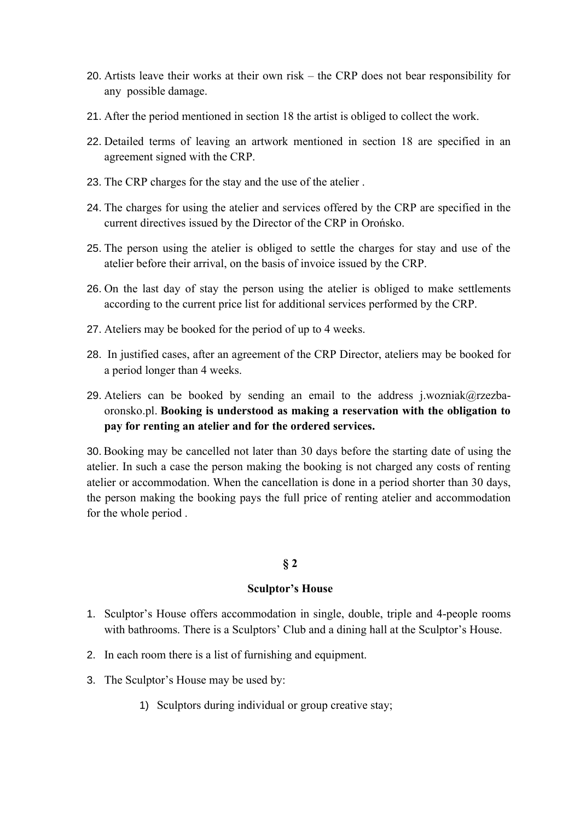- 20. Artists leave their works at their own risk the CRP does not bear responsibility for any possible damage.
- 21. After the period mentioned in section 18 the artist is obliged to collect the work.
- 22. Detailed terms of leaving an artwork mentioned in section 18 are specified in an agreement signed with the CRP.
- 23. The CRP charges for the stay and the use of the atelier .
- 24. The charges for using the atelier and services offered by the CRP are specified in the current directives issued by the Director of the CRP in Orońsko.
- 25. The person using the atelier is obliged to settle the charges for stay and use of the atelier before their arrival, on the basis of invoice issued by the CRP.
- 26. On the last day of stay the person using the atelier is obliged to make settlements according to the current price list for additional services performed by the CRP.
- 27. Ateliers may be booked for the period of up to 4 weeks.
- 28. In justified cases, after an agreement of the CRP Director, ateliers may be booked for a period longer than 4 weeks.
- 29. Ateliers can be booked by sending an email to the address j.wozniak@rzezbaoronsko.pl. **Booking is understood as making a reservation with the obligation to pay for renting an atelier and for the ordered services.**

30. Booking may be cancelled not later than 30 days before the starting date of using the atelier. In such a case the person making the booking is not charged any costs of renting atelier or accommodation. When the cancellation is done in a period shorter than 30 days, the person making the booking pays the full price of renting atelier and accommodation for the whole period .

## **§ 2**

#### **Sculptor's House**

- 1. Sculptor's House offers accommodation in single, double, triple and 4-people rooms with bathrooms. There is a Sculptors' Club and a dining hall at the Sculptor's House.
- 2. In each room there is a list of furnishing and equipment.
- 3. The Sculptor's House may be used by:
	- 1) Sculptors during individual or group creative stay;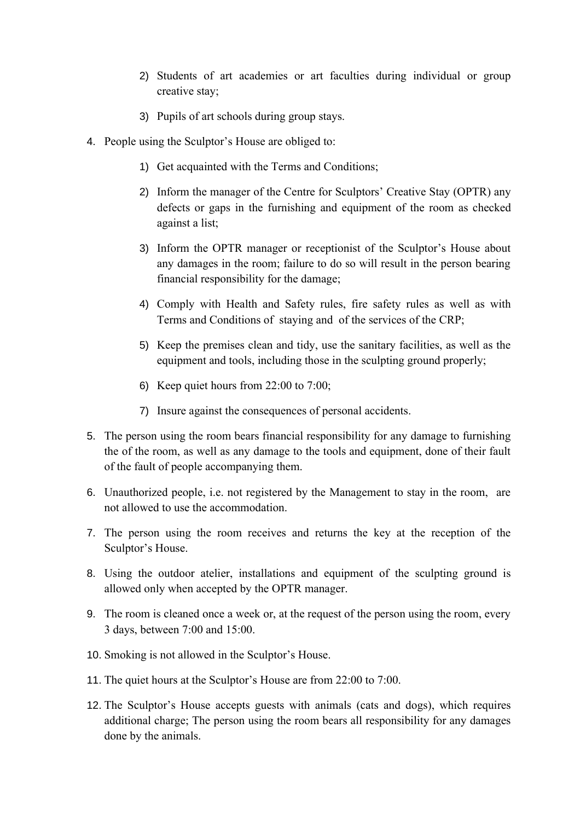- 2) Students of art academies or art faculties during individual or group creative stay;
- 3) Pupils of art schools during group stays.
- 4. People using the Sculptor's House are obliged to:
	- 1) Get acquainted with the Terms and Conditions;
	- 2) Inform the manager of the Centre for Sculptors' Creative Stay (OPTR) any defects or gaps in the furnishing and equipment of the room as checked against a list;
	- 3) Inform the OPTR manager or receptionist of the Sculptor's House about any damages in the room; failure to do so will result in the person bearing financial responsibility for the damage;
	- 4) Comply with Health and Safety rules, fire safety rules as well as with Terms and Conditions of staying and of the services of the CRP;
	- 5) Keep the premises clean and tidy, use the sanitary facilities, as well as the equipment and tools, including those in the sculpting ground properly;
	- 6) Keep quiet hours from 22:00 to 7:00;
	- 7) Insure against the consequences of personal accidents.
- 5. The person using the room bears financial responsibility for any damage to furnishing the of the room, as well as any damage to the tools and equipment, done of their fault of the fault of people accompanying them.
- 6. Unauthorized people, i.e. not registered by the Management to stay in the room, are not allowed to use the accommodation.
- 7. The person using the room receives and returns the key at the reception of the Sculptor's House.
- 8. Using the outdoor atelier, installations and equipment of the sculpting ground is allowed only when accepted by the OPTR manager.
- 9. The room is cleaned once a week or, at the request of the person using the room, every 3 days, between 7:00 and 15:00.
- 10. Smoking is not allowed in the Sculptor's House.
- 11. The quiet hours at the Sculptor's House are from 22:00 to 7:00.
- 12. The Sculptor's House accepts guests with animals (cats and dogs), which requires additional charge; The person using the room bears all responsibility for any damages done by the animals.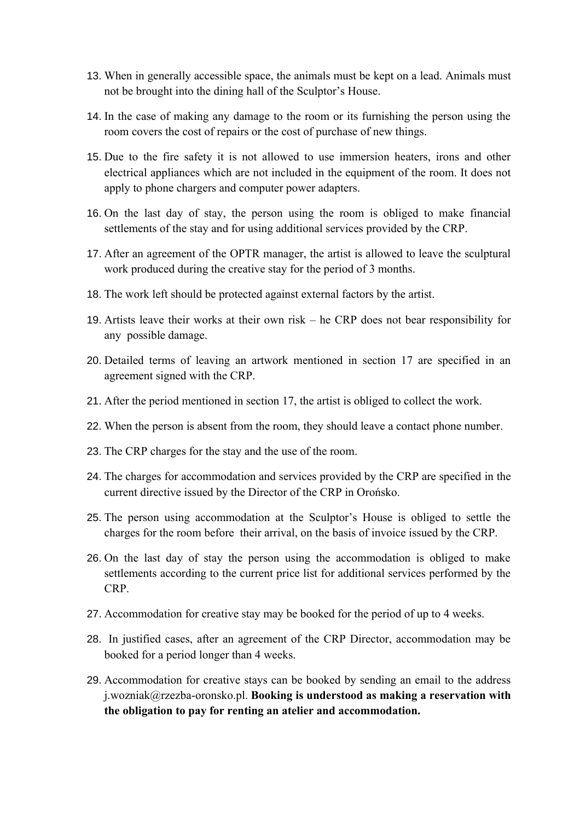- 13. When in generally accessible space, the animals must be kept on a lead. Animals must not be brought into the dining hall of the Sculptor's House.
- 14. In the case of making any damage to the room or its furnishing the person using the room covers the cost of repairs or the cost of purchase of new things.
- 15. Due to the fire safety it is not allowed to use immersion heaters, irons and other electrical appliances which are not included in the equipment of the room. It does not apply to phone chargers and computer power adapters.
- 16. On the last day of stay, the person using the room is obliged to make financial settlements of the stay and for using additional services provided by the CRP.
- 17. After an agreement of the OPTR manager, the artist is allowed to leave the sculptural work produced during the creative stay for the period of 3 months.
- 18. The work left should be protected against external factors by the artist.
- 19. Artists leave their works at their own risk he CRP does not bear responsibility for any possible damage.
- 20. Detailed terms of leaving an artwork mentioned in section 17 are specified in an agreement signed with the CRP.
- 21. After the period mentioned in section 17, the artist is obliged to collect the work.
- 22. When the person is absent from the room, they should leave a contact phone number.
- 23. The CRP charges for the stay and the use of the room.
- 24. The charges for accommodation and services provided by the CRP are specified in the current directive issued by the Director of the CRP in Orońsko.
- 25. The person using accommodation at the Sculptor's House is obliged to settle the charges for the room before their arrival, on the basis of invoice issued by the CRP.
- 26. On the last day of stay the person using the accommodation is obliged to make settlements according to the current price list for additional services performed by the CRP.
- 27. Accommodation for creative stay may be booked for the period of up to 4 weeks.
- 28. In justified cases, after an agreement of the CRP Director, accommodation may be booked for a period longer than 4 weeks.
- 29. Accommodation for creative stays can be booked by sending an email to the address j.wozniak@rzezba-oronsko.pl. **Booking is understood as making a reservation with the obligation to pay for renting an atelier and accommodation.**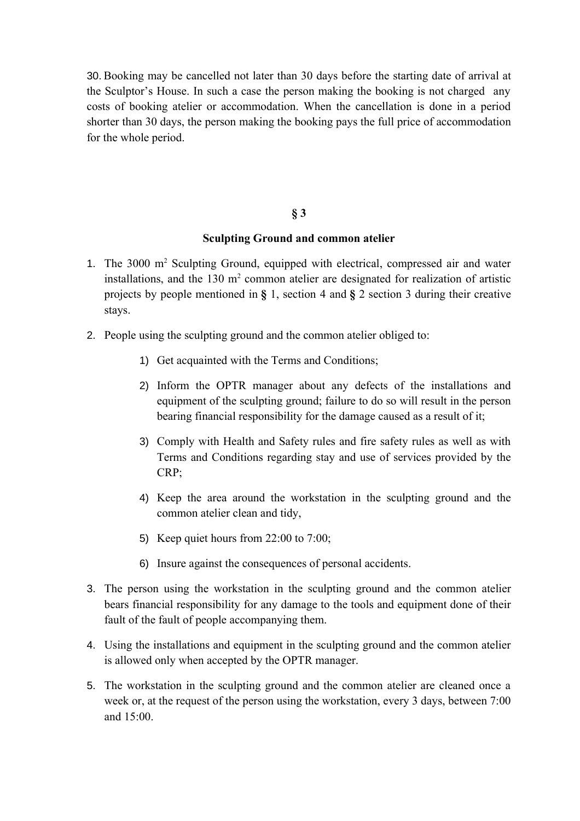30. Booking may be cancelled not later than 30 days before the starting date of arrival at the Sculptor's House. In such a case the person making the booking is not charged any costs of booking atelier or accommodation. When the cancellation is done in a period shorter than 30 days, the person making the booking pays the full price of accommodation for the whole period.

### **§ 3**

#### **Sculpting Ground and common atelier**

- 1. The 3000 m<sup>2</sup> Sculpting Ground, equipped with electrical, compressed air and water installations, and the  $130 \text{ m}^2$  common atelier are designated for realization of artistic projects by people mentioned in **§** 1, section 4 and **§** 2 section 3 during their creative stays.
- 2. People using the sculpting ground and the common atelier obliged to:
	- 1) Get acquainted with the Terms and Conditions;
	- 2) Inform the OPTR manager about any defects of the installations and equipment of the sculpting ground; failure to do so will result in the person bearing financial responsibility for the damage caused as a result of it;
	- 3) Comply with Health and Safety rules and fire safety rules as well as with Terms and Conditions regarding stay and use of services provided by the CRP;
	- 4) Keep the area around the workstation in the sculpting ground and the common atelier clean and tidy,
	- 5) Keep quiet hours from 22:00 to 7:00;
	- 6) Insure against the consequences of personal accidents.
- 3. The person using the workstation in the sculpting ground and the common atelier bears financial responsibility for any damage to the tools and equipment done of their fault of the fault of people accompanying them.
- 4. Using the installations and equipment in the sculpting ground and the common atelier is allowed only when accepted by the OPTR manager.
- 5. The workstation in the sculpting ground and the common atelier are cleaned once a week or, at the request of the person using the workstation, every 3 days, between 7:00 and  $15:00$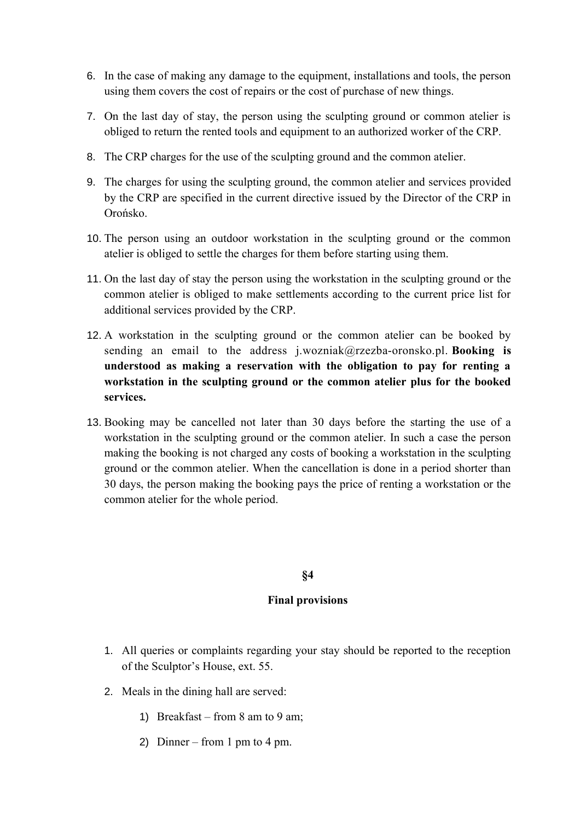- 6. In the case of making any damage to the equipment, installations and tools, the person using them covers the cost of repairs or the cost of purchase of new things.
- 7. On the last day of stay, the person using the sculpting ground or common atelier is obliged to return the rented tools and equipment to an authorized worker of the CRP.
- 8. The CRP charges for the use of the sculpting ground and the common atelier.
- 9. The charges for using the sculpting ground, the common atelier and services provided by the CRP are specified in the current directive issued by the Director of the CRP in Orońsko.
- 10. The person using an outdoor workstation in the sculpting ground or the common atelier is obliged to settle the charges for them before starting using them.
- 11. On the last day of stay the person using the workstation in the sculpting ground or the common atelier is obliged to make settlements according to the current price list for additional services provided by the CRP.
- 12. A workstation in the sculpting ground or the common atelier can be booked by sending an email to the address j.wozniak@rzezba-oronsko.pl. **Booking is understood as making a reservation with the obligation to pay for renting a workstation in the sculpting ground or the common atelier plus for the booked services.**
- 13. Booking may be cancelled not later than 30 days before the starting the use of a workstation in the sculpting ground or the common atelier. In such a case the person making the booking is not charged any costs of booking a workstation in the sculpting ground or the common atelier. When the cancellation is done in a period shorter than 30 days, the person making the booking pays the price of renting a workstation or the common atelier for the whole period.

## **§4**

## **Final provisions**

- 1. All queries or complaints regarding your stay should be reported to the reception of the Sculptor's House, ext. 55.
- 2. Meals in the dining hall are served:
	- 1) Breakfast from 8 am to 9 am;
	- 2) Dinner from 1 pm to 4 pm.